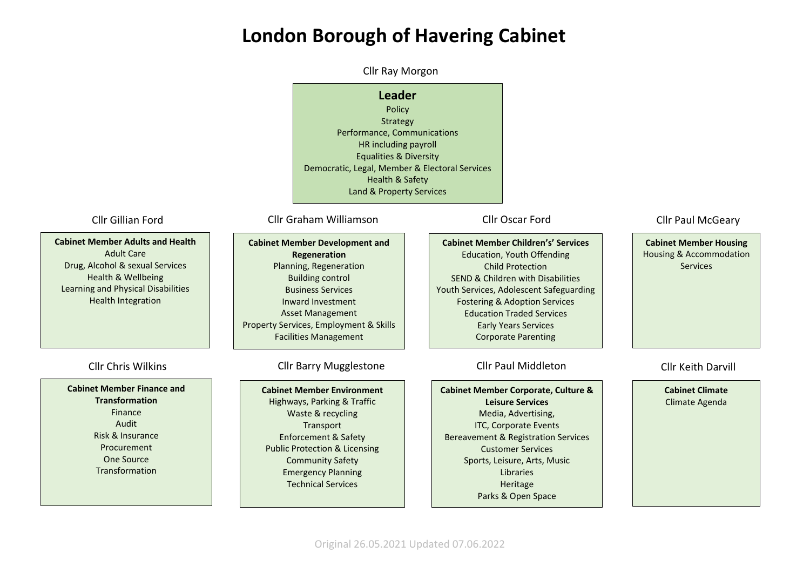# **London Borough of Havering Cabinet**

**Leader** Policy Strategy Performance, Communications HR including payroll Equalities & Diversity Democratic, Legal, Member & Electoral Services Health & Safety Land & Property Services **Cabinet Member Children's' Services** Education, Youth Offending Child Protection SEND & Children with Disabilities Youth Services, Adolescent Safeguarding Fostering & Adoption Services Education Traded Services Early Years Services Corporate Parenting **Cabinet Member Housing** Housing & Accommodation **Services Cabinet Member Development and Regeneration**  Planning, Regeneration Building control Business Services Inward Investment Asset Management Property Services, Employment & Skills Facilities Management **Cabinet Member Adults and Health** Adult Care Drug, Alcohol & sexual Services Health & Wellbeing Learning and Physical Disabilities Health Integration **Cabinet Member Finance and Transformation** Finance Audit Risk & Insurance Procurement One Source Transformation **Cabinet Member Environment** Highways, Parking & Traffic Waste & recycling **Transport** Enforcement & Safety Public Protection & Licensing Community Safety Emergency Planning Technical Services **Cabinet Member Corporate, Culture & Leisure Services**  Media, Advertising, ITC, Corporate Events Bereavement & Registration Services Customer Services Sports, Leisure, Arts, Music Libraries Heritage Parks & Open Space Cllr Paul McGeary Cllr Chris Wilkins Cllr Barry Mugglestone Cllr Paul Middleton Cllr Gillian Ford Cllr Graham Williamson Cllr Oscar Ford Cllr Ray Morgon **Cabinet Climate** Climate Agenda Cllr Keith Darvill